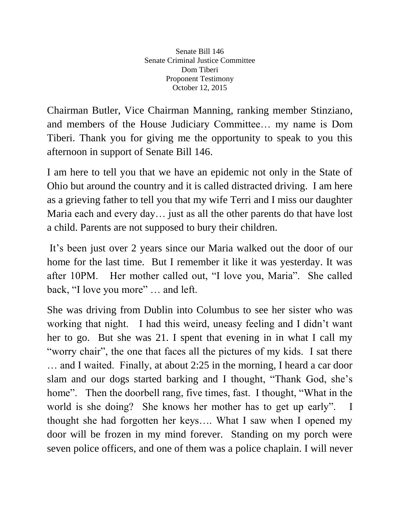Senate Bill 146 Senate Criminal Justice Committee Dom Tiberi Proponent Testimony October 12, 2015

Chairman Butler, Vice Chairman Manning, ranking member Stinziano, and members of the House Judiciary Committee… my name is Dom Tiberi. Thank you for giving me the opportunity to speak to you this afternoon in support of Senate Bill 146.

I am here to tell you that we have an epidemic not only in the State of Ohio but around the country and it is called distracted driving. I am here as a grieving father to tell you that my wife Terri and I miss our daughter Maria each and every day… just as all the other parents do that have lost a child. Parents are not supposed to bury their children.

It's been just over 2 years since our Maria walked out the door of our home for the last time. But I remember it like it was yesterday. It was after 10PM. Her mother called out, "I love you, Maria". She called back, "I love you more" … and left.

She was driving from Dublin into Columbus to see her sister who was working that night. I had this weird, uneasy feeling and I didn't want her to go. But she was 21. I spent that evening in in what I call my "worry chair", the one that faces all the pictures of my kids. I sat there … and I waited. Finally, at about 2:25 in the morning, I heard a car door slam and our dogs started barking and I thought, "Thank God, she's home". Then the doorbell rang, five times, fast. I thought, "What in the world is she doing? She knows her mother has to get up early". I thought she had forgotten her keys…. What I saw when I opened my door will be frozen in my mind forever. Standing on my porch were seven police officers, and one of them was a police chaplain. I will never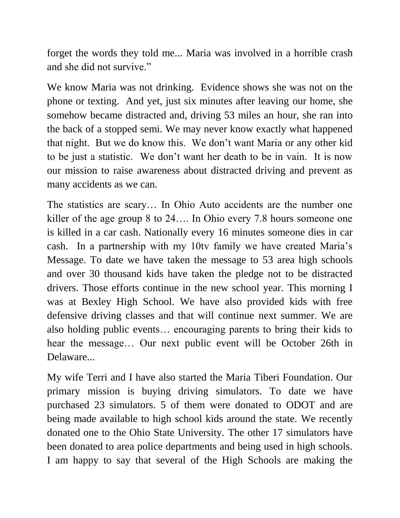forget the words they told me... Maria was involved in a horrible crash and she did not survive."

We know Maria was not drinking. Evidence shows she was not on the phone or texting. And yet, just six minutes after leaving our home, she somehow became distracted and, driving 53 miles an hour, she ran into the back of a stopped semi. We may never know exactly what happened that night. But we do know this. We don't want Maria or any other kid to be just a statistic. We don't want her death to be in vain. It is now our mission to raise awareness about distracted driving and prevent as many accidents as we can.

The statistics are scary… In Ohio Auto accidents are the number one killer of the age group 8 to 24…. In Ohio every 7.8 hours someone one is killed in a car cash. Nationally every 16 minutes someone dies in car cash. In a partnership with my 10tv family we have created Maria's Message. To date we have taken the message to 53 area high schools and over 30 thousand kids have taken the pledge not to be distracted drivers. Those efforts continue in the new school year. This morning I was at Bexley High School. We have also provided kids with free defensive driving classes and that will continue next summer. We are also holding public events… encouraging parents to bring their kids to hear the message… Our next public event will be October 26th in Delaware...

My wife Terri and I have also started the Maria Tiberi Foundation. Our primary mission is buying driving simulators. To date we have purchased 23 simulators. 5 of them were donated to ODOT and are being made available to high school kids around the state. We recently donated one to the Ohio State University. The other 17 simulators have been donated to area police departments and being used in high schools. I am happy to say that several of the High Schools are making the